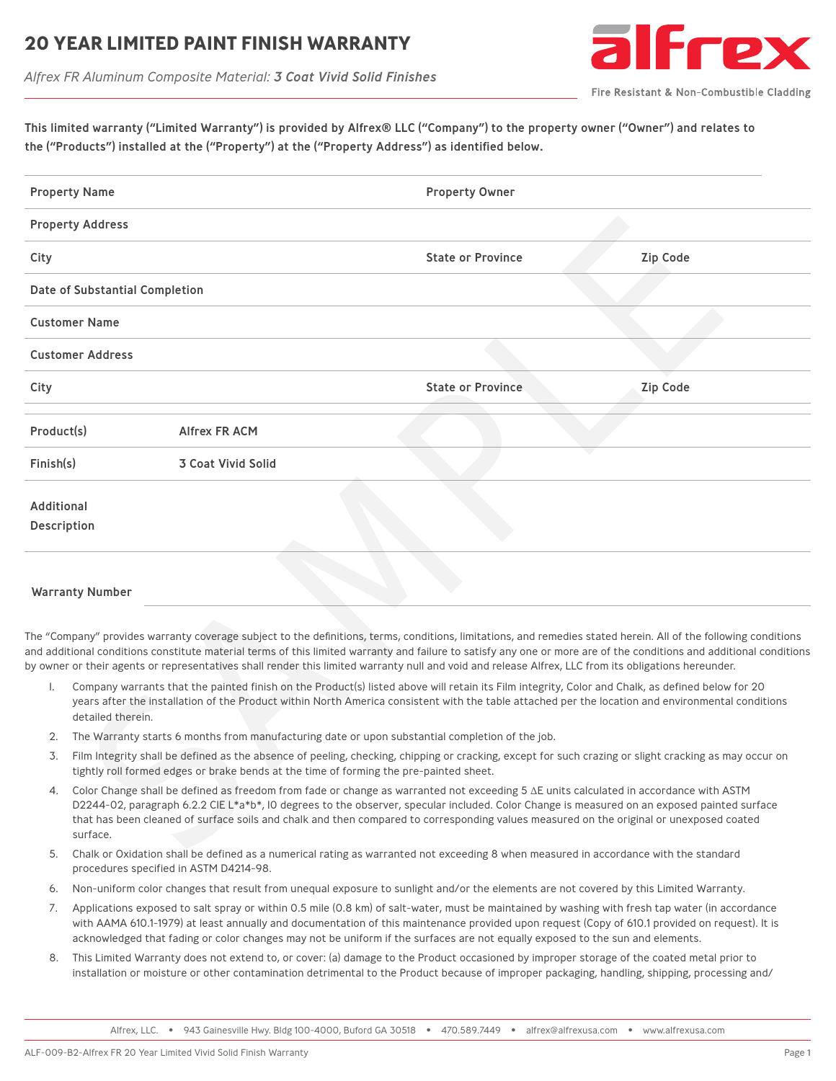### **20 YEAR LIMITED PAINT FINISH WARRANT**



*Alfrex FR Aluminum Composite Material: 3 Coat Vivid Solid Finishes*

| This limited warranty ("Limited Warranty") is provided by Alfrex® LLC ("Company") to the property owner ("Owner") and relates to |  |
|----------------------------------------------------------------------------------------------------------------------------------|--|
| the ("Products") installed at the ("Property") at the ("Property Address") as identified below.                                  |  |

| <b>Property Name</b> |                                                                                                                                                                                                                                                                                                                                                                                                                                                           |                    | <b>Property Owner</b>                                                                                                                                                                                                                                                                                                                                                                                                                                                                           |                 |  |  |  |
|----------------------|-----------------------------------------------------------------------------------------------------------------------------------------------------------------------------------------------------------------------------------------------------------------------------------------------------------------------------------------------------------------------------------------------------------------------------------------------------------|--------------------|-------------------------------------------------------------------------------------------------------------------------------------------------------------------------------------------------------------------------------------------------------------------------------------------------------------------------------------------------------------------------------------------------------------------------------------------------------------------------------------------------|-----------------|--|--|--|
|                      | <b>Property Address</b>                                                                                                                                                                                                                                                                                                                                                                                                                                   |                    |                                                                                                                                                                                                                                                                                                                                                                                                                                                                                                 |                 |  |  |  |
| City                 |                                                                                                                                                                                                                                                                                                                                                                                                                                                           |                    | <b>State or Province</b>                                                                                                                                                                                                                                                                                                                                                                                                                                                                        | <b>Zip Code</b> |  |  |  |
|                      | Date of Substantial Completion                                                                                                                                                                                                                                                                                                                                                                                                                            |                    |                                                                                                                                                                                                                                                                                                                                                                                                                                                                                                 |                 |  |  |  |
|                      | <b>Customer Name</b>                                                                                                                                                                                                                                                                                                                                                                                                                                      |                    |                                                                                                                                                                                                                                                                                                                                                                                                                                                                                                 |                 |  |  |  |
|                      | <b>Customer Address</b>                                                                                                                                                                                                                                                                                                                                                                                                                                   |                    |                                                                                                                                                                                                                                                                                                                                                                                                                                                                                                 |                 |  |  |  |
| City                 |                                                                                                                                                                                                                                                                                                                                                                                                                                                           |                    | <b>State or Province</b>                                                                                                                                                                                                                                                                                                                                                                                                                                                                        | <b>Zip Code</b> |  |  |  |
| Product(s)           |                                                                                                                                                                                                                                                                                                                                                                                                                                                           | Alfrex FR ACM      |                                                                                                                                                                                                                                                                                                                                                                                                                                                                                                 |                 |  |  |  |
| Finish(s)            |                                                                                                                                                                                                                                                                                                                                                                                                                                                           | 3 Coat Vivid Solid |                                                                                                                                                                                                                                                                                                                                                                                                                                                                                                 |                 |  |  |  |
| Additional           | <b>Description</b>                                                                                                                                                                                                                                                                                                                                                                                                                                        |                    |                                                                                                                                                                                                                                                                                                                                                                                                                                                                                                 |                 |  |  |  |
|                      | <b>Warranty Number</b>                                                                                                                                                                                                                                                                                                                                                                                                                                    |                    |                                                                                                                                                                                                                                                                                                                                                                                                                                                                                                 |                 |  |  |  |
| I.                   |                                                                                                                                                                                                                                                                                                                                                                                                                                                           |                    | The "Company" provides warranty coverage subject to the definitions, terms, conditions, limitations, and remedies stated herein. All of the following conditions<br>and additional conditions constitute material terms of this limited warranty and failure to satisfy any one or more are of the conditions and additional conditions<br>by owner or their agents or representatives shall render this limited warranty null and void and release Alfrex, LLC from its obligations hereunder. |                 |  |  |  |
|                      | Company warrants that the painted finish on the Product(s) listed above will retain its Film integrity, Color and Chalk, as defined below for 20<br>years after the installation of the Product within North America consistent with the table attached per the location and environmental conditions<br>detailed therein.                                                                                                                                |                    |                                                                                                                                                                                                                                                                                                                                                                                                                                                                                                 |                 |  |  |  |
| 2.                   | The Warranty starts 6 months from manufacturing date or upon substantial completion of the job.                                                                                                                                                                                                                                                                                                                                                           |                    |                                                                                                                                                                                                                                                                                                                                                                                                                                                                                                 |                 |  |  |  |
| 3.                   | Film Integrity shall be defined as the absence of peeling, checking, chipping or cracking, except for such crazing or slight cracking as may occur on<br>tightly roll formed edges or brake bends at the time of forming the pre-painted sheet.                                                                                                                                                                                                           |                    |                                                                                                                                                                                                                                                                                                                                                                                                                                                                                                 |                 |  |  |  |
|                      | Color Change shall be defined as freedom from fade or change as warranted not exceeding 5 $\Delta E$ units calculated in accordance with ASTM<br>4.<br>D2244-02, paragraph 6.2.2 CIE L*a*b*, IO degrees to the observer, specular included. Color Change is measured on an exposed painted surface<br>that has been cleaned of surface soils and chalk and then compared to corresponding values measured on the original or unexposed coated<br>surface. |                    |                                                                                                                                                                                                                                                                                                                                                                                                                                                                                                 |                 |  |  |  |
|                      |                                                                                                                                                                                                                                                                                                                                                                                                                                                           |                    | Chalk or Oxidation shall be defined as a numerical rating as warranted not exceeding 8 when measured in accordance with the standard                                                                                                                                                                                                                                                                                                                                                            |                 |  |  |  |

#### Warranty Number

- 1. Company warrants that the painted finish on the Product(s) listed above will retain its Film integrity, Color and Chalk, as defined below for 20 years after the installation of the Product within North America consistent with the table attached per the location and environmental conditions detailed therein.
- 2. The Warranty starts 6 months from manufacturing date or upon substantial completion of the job.
- 3. Film Integrity shall be defined as the absence of peeling, checking, chipping or cracking, except for such crazing or slight cracking as may occur on tightly roll formed edges or brake bends at the time of forming the pre-painted sheet.
- 4. Color Change shall be defined as freedom from fade or change as warranted not exceeding 5 ΔE units calculated in accordance with ASTM D2244-02, paragraph 6.2.2 CIE L\*a\*b\*, IO degrees to the observer, specular included. Color Change is measured on an exposed painted surface that has been cleaned of surface soils and chalk and then compared to corresponding values measured on the original or unexposed coated surface.
- 5. Chalk or Oxidation shall be defined as a numerical rating as warranted not exceeding 8 when measured in accordance with the standard procedures specified in ASTM D4214-98.
- 6. Non-uniform color changes that result from unequal exposure to sunlight and/or the elements are not covered by this Limited Warranty.
- 7. Applications exposed to salt spray or within 0.5 mile (0.8 km) of salt-water, must be maintained by washing with fresh tap water (in accordance with AAMA 610.1-1979) at least annually and documentation of this maintenance provided upon request (Copy of 610.1 provided on request). It is acknowledged that fading or color changes may not be uniform if the surfaces are not equally exposed to the sun and elements.
- 8. This Limited Warranty does not extend to, or cover: (a) damage to the Product occasioned by improper storage of the coated metal prior to installation or moisture or other contamination detrimental to the Product because of improper packaging, handling, shipping, processing and/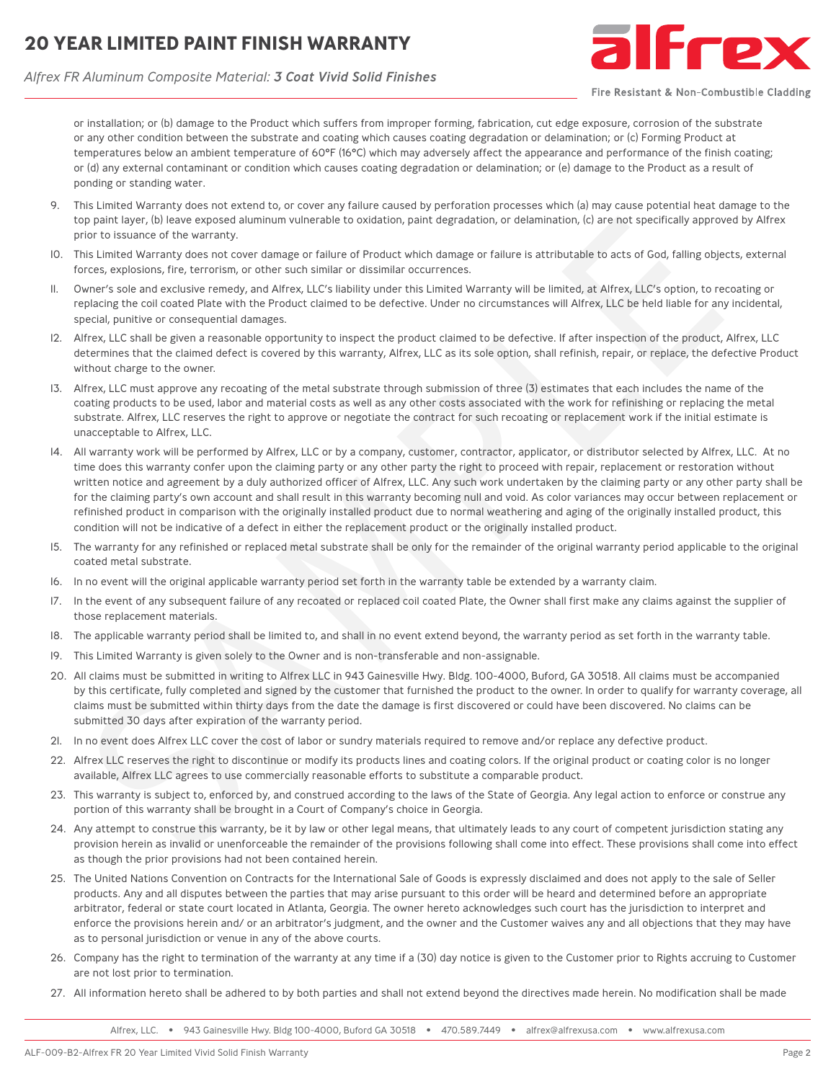# **20 YEAR LIMITED PAINT FINISH WARRANTY**





Fire Resistant & Non-Combustible Cladding

or installation; or (b) damage to the Product which suffers from improper forming, fabrication, cut edge exposure, corrosion of the substrate or any other condition between the substrate and coating which causes coating degradation or delamination; or (c) Forming Product at temperatures below an ambient temperature of 60°F (16°C) which may adversely affect the appearance and performance of the finish coating; or (d) any external contaminant or condition which causes coating degradation or delamination; or (e) damage to the Product as a result of ponding or standing water.

- 9. This Limited Warranty does not extend to, or cover any failure caused by perforation processes which (a) may cause potential heat damage to the top paint layer, (b) leave exposed aluminum vulnerable to oxidation, paint degradation, or delamination, (c) are not specifically approved by Alfrex prior to issuance of the warranty.
- 10. This Limited Warranty does not cover damage or failure of Product which damage or failure is attributable to acts of God, falling objects, external forces, explosions, fire, terrorism, or other such similar or dissimilar occurrences.
- 11. Owner's sole and exclusive remedy, and Alfrex, LLC's liability under this Limited Warranty will be limited, at Alfrex, LLC's option, to recoating or replacing the coil coated Plate with the Product claimed to be defective. Under no circumstances will Alfrex, LLC be held liable for any incidental, special, punitive or consequential damages.
- 12. Alfrex, LLC shall be given a reasonable opportunity to inspect the product claimed to be defective. If after inspection of the product, Alfrex, LLC determines that the claimed defect is covered by this warranty, Alfrex, LLC as its sole option, shall refinish, repair, or replace, the defective Product without charge to the owner.
- 13. Alfrex, LLC must approve any recoating of the metal substrate through submission of three (3) estimates that each includes the name of the coating products to be used, labor and material costs as well as any other costs associated with the work for refinishing or replacing the metal substrate. Alfrex, LLC reserves the right to approve or negotiate the contract for such recoating or replacement work if the initial estimate is unacceptable to Alfrex, LLC.
- 14. All warranty work will be performed by Alfrex, LLC or by a company, customer, contractor, applicator, or distributor selected by Alfrex, LLC. At no time does this warranty confer upon the claiming party or any other party the right to proceed with repair, replacement or restoration without written notice and agreement by a duly authorized officer of Alfrex, LLC. Any such work undertaken by the claiming party or any other party shall be for the claiming party's own account and shall result in this warranty becoming null and void. As color variances may occur between replacement or refinished product in comparison with the originally installed product due to normal weathering and aging of the originally installed product, this condition will not be indicative of a defect in either the replacement product or the originally installed product. phenome probable appear and the method interest and the security and the security of the security and the security and the security and the security of the security does not convert almost the interest with a security does
- 15. The warranty for any refinished or replaced metal substrate shall be only for the remainder of the original warranty period applicable to the original coated metal substrate.
- 16. In no event will the original applicable warranty period set forth in the warranty table be extended by a warranty claim.
- 17. In the event of any subsequent failure of any recoated or replaced coil coated Plate, the Owner shall first make any claims against the supplier of those replacement materials.
- 18. The applicable warranty period shall be limited to, and shall in no event extend beyond, the warranty period as set forth in the warranty table.
- 19. This Limited Warranty is given solely to the Owner and is non-transferable and non-assignable.
- 20. All claims must be submitted in writing to Alfrex LLC in 943 Gainesville Hwy. Bldg. 100-4000, Buford, GA 30518. All claims must be accompanied by this certificate, fully completed and signed by the customer that furnished the product to the owner. In order to qualify for warranty coverage, all claims must be submitted within thirty days from the date the damage is first discovered or could have been discovered. No claims can be submitted 30 days after expiration of the warranty period.
- In no event does Alfrex LLC cover the cost of labor or sundry materials required to remove and/or replace any defective product.
- 22. Alfrex LLC reserves the right to discontinue or modify its products lines and coating colors. If the original product or coating color is no longer available, Alfrex LLC agrees to use commercially reasonable efforts to substitute a comparable product.
- 23. This warranty is subject to, enforced by, and construed according to the laws of the State of Georgia. Any legal action to enforce or construe any portion of this warranty shall be brought in a Court of Company's choice in Georgia.
- 24. Any attempt to construe this warranty, be it by law or other legal means, that ultimately leads to any court of competent jurisdiction stating any provision herein as invalid or unenforceable the remainder of the provisions following shall come into effect. These provisions shall come into effect as though the prior provisions had not been contained herein.
- 25. The United Nations Convention on Contracts for the International Sale of Goods is expressly disclaimed and does not apply to the sale of Seller products. Any and all disputes between the parties that may arise pursuant to this order will be heard and determined before an appropriate arbitrator, federal or state court located in Atlanta, Georgia. The owner hereto acknowledges such court has the jurisdiction to interpret and enforce the provisions herein and/ or an arbitrator's judgment, and the owner and the Customer waives any and all objections that they may have as to personal jurisdiction or venue in any of the above courts.
- 26. Company has the right to termination of the warranty at any time if a (30) day notice is given to the Customer prior to Rights accruing to Customer are not lost prior to termination.
- 27. All information hereto shall be adhered to by both parties and shall not extend beyond the directives made herein. No modification shall be made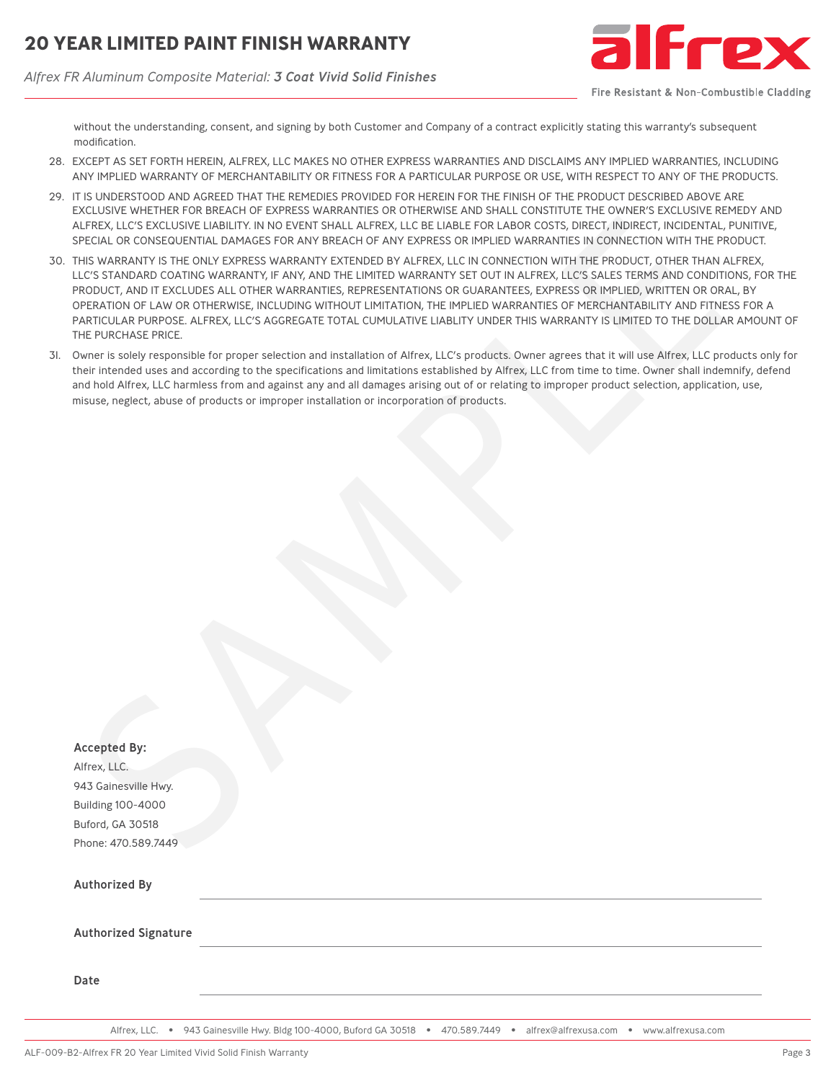*Alfrex FR Aluminum Composite Material: 3 Coat Vivid Solid Finishes*



Fire Resistant & Non-Combustible Cladding

without the understanding, consent, and signing by both Customer and Company of a contract explicitly stating this warranty's subsequent modification.

- 28. EXCEPT AS SET FORTH HEREIN, ALFREX, LLC MAKES NO OTHER EXPRESS WARRANTIES AND DISCLAIMS ANY IMPLIED WARRANTIES, INCLUDING ANY IMPLIED WARRANTY OF MERCHANTABILITY OR FITNESS FOR A PARTICULAR PURPOSE OR USE, WITH RESPECT TO ANY OF THE PRODUCTS.
- 29. IT IS UNDERSTOOD AND AGREED THAT THE REMEDIES PROVIDED FOR HEREIN FOR THE FINISH OF THE PRODUCT DESCRIBED ABOVE ARE EXCLUSIVE WHETHER FOR BREACH OF EXPRESS WARRANTIES OR OTHERWISE AND SHALL CONSTITUTE THE OWNER'S EXCLUSIVE REMEDY AND ALFREX, LLC'S EXCLUSIVE LIABILITY. IN NO EVENT SHALL ALFREX, LLC BE LIABLE FOR LABOR COSTS, DIRECT, INDIRECT, INCIDENTAL, PUNITIVE, SPECIAL OR CONSEQUENTIAL DAMAGES FOR ANY BREACH OF ANY EXPRESS OR IMPLIED WARRANTIES IN CONNECTION WITH THE PRODUCT.
- 30. THIS WARRANTY IS THE ONLY EXPRESS WARRANTY EXTENDED BY ALFREX, LLC IN CONNECTION WITH THE PRODUCT, OTHER THAN ALFREX, LLC'S STANDARD COATING WARRANTY, IF ANY, AND THE LIMITED WARRANTY SET OUT IN ALFREX, LLC'S SALES TERMS AND CONDITIONS, FOR THE PRODUCT, AND IT EXCLUDES ALL OTHER WARRANTIES, REPRESENTATIONS OR GUARANTEES, EXPRESS OR IMPLIED, WRITTEN OR ORAL, BY OPERATION OF LAW OR OTHERWISE, INCLUDING WITHOUT LIMITATION, THE IMPLIED WARRANTIES OF MERCHANTABILITY AND FITNESS FOR A PARTICULAR PURPOSE. ALFREX, LLC'S AGGREGATE TOTAL CUMULATIVE LIABLITY UNDER THIS WARRANTY IS LIMITED TO THE DOLLAR AMOUNT OF THE PURCHASE PRICE.
- 31. Owner is solely responsible for proper selection and installation of Alfrex, LLC's products. Owner agrees that it will use Alfrex, LLC products only for their intended uses and according to the specifications and limitations established by Alfrex, LLC from time to time. Owner shall indemnify, defend and hold Alfrex, LLC harmless from and against any and all damages arising out of or relating to improper product selection, application, use, misuse, neglect, abuse of products or improper installation or incorporation of products.

| THIS WARRANTY IS THE ONLY EXPRESS WARRANTY EXTENDED BY ALFREX, LLC IN CONNECTION WITH THE PRODUCT, OTHER THAN ALFREX,<br>LLC'S STANDARD COATING WARRANTY, IF ANY, AND THE LIMITED WARRANTY SET OUT IN ALFREX, LLC'S SALES TERMS AND CONDITIONS, FC<br>PRODUCT, AND IT EXCLUDES ALL OTHER WARRANTIES, REPRESENTATIONS OR GUARANTEES, EXPRESS OR IMPLIED, WRITTEN OR ORAL, BY<br>OPERATION OF LAW OR OTHERWISE, INCLUDING WITHOUT LIMITATION, THE IMPLIED WARRANTIES OF MERCHANTABILITY AND FITNESS FOR<br>PARTICULAR PURPOSE. ALFREX, LLC'S AGGREGATE TOTAL CUMULATIVE LIABLITY UNDER THIS WARRANTY IS LIMITED TO THE DOLLAR AMOU<br>THE PURCHASE PRICE. |
|---------------------------------------------------------------------------------------------------------------------------------------------------------------------------------------------------------------------------------------------------------------------------------------------------------------------------------------------------------------------------------------------------------------------------------------------------------------------------------------------------------------------------------------------------------------------------------------------------------------------------------------------------------|
| Owner is solely responsible for proper selection and installation of Alfrex, LLC's products. Owner agrees that it will use Alfrex, LLC products o<br>their intended uses and according to the specifications and limitations established by Alfrex, LLC from time to time. Owner shall indemnify, de<br>and hold Alfrex, LLC harmless from and against any and all damages arising out of or relating to improper product selection, application, use,<br>misuse, neglect, abuse of products or improper installation or incorporation of products.                                                                                                     |
|                                                                                                                                                                                                                                                                                                                                                                                                                                                                                                                                                                                                                                                         |
|                                                                                                                                                                                                                                                                                                                                                                                                                                                                                                                                                                                                                                                         |
|                                                                                                                                                                                                                                                                                                                                                                                                                                                                                                                                                                                                                                                         |
|                                                                                                                                                                                                                                                                                                                                                                                                                                                                                                                                                                                                                                                         |
|                                                                                                                                                                                                                                                                                                                                                                                                                                                                                                                                                                                                                                                         |
|                                                                                                                                                                                                                                                                                                                                                                                                                                                                                                                                                                                                                                                         |
|                                                                                                                                                                                                                                                                                                                                                                                                                                                                                                                                                                                                                                                         |
| <b>Accepted By:</b>                                                                                                                                                                                                                                                                                                                                                                                                                                                                                                                                                                                                                                     |
| Alfrex, LLC.                                                                                                                                                                                                                                                                                                                                                                                                                                                                                                                                                                                                                                            |
| 943 Gainesville Hwy.                                                                                                                                                                                                                                                                                                                                                                                                                                                                                                                                                                                                                                    |
| Building 100-4000                                                                                                                                                                                                                                                                                                                                                                                                                                                                                                                                                                                                                                       |
| Buford, GA 30518                                                                                                                                                                                                                                                                                                                                                                                                                                                                                                                                                                                                                                        |
| Phone: 470.589.7449                                                                                                                                                                                                                                                                                                                                                                                                                                                                                                                                                                                                                                     |
| <b>Authorized By</b>                                                                                                                                                                                                                                                                                                                                                                                                                                                                                                                                                                                                                                    |
| <b>Authorized Signature</b>                                                                                                                                                                                                                                                                                                                                                                                                                                                                                                                                                                                                                             |
|                                                                                                                                                                                                                                                                                                                                                                                                                                                                                                                                                                                                                                                         |
| Date                                                                                                                                                                                                                                                                                                                                                                                                                                                                                                                                                                                                                                                    |

Alfrex, LLC. • 943 Gainesville Hwy. Bldg 100-4000, Buford GA 30518 • 470.589.7449 • alfrex@alfrexusa.com • www.alfrexusa.com